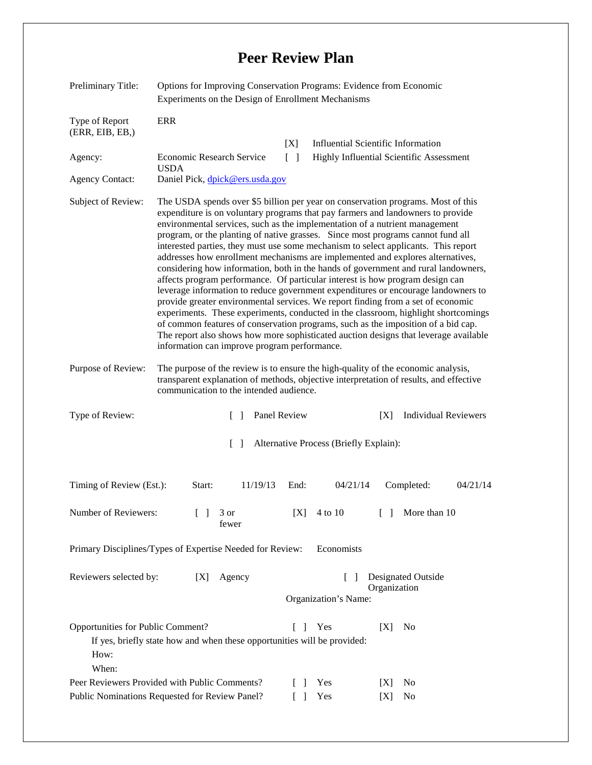## **Peer Review Plan**

| Preliminary Title:                                                                              | Options for Improving Conservation Programs: Evidence from Economic<br>Experiments on the Design of Enrollment Mechanisms                                                                                                                                                                                                                                                                                                                                                                                                                                                                                                                                                                                                                                                                                                                                                                                                                                                        |                                        |                                    |
|-------------------------------------------------------------------------------------------------|----------------------------------------------------------------------------------------------------------------------------------------------------------------------------------------------------------------------------------------------------------------------------------------------------------------------------------------------------------------------------------------------------------------------------------------------------------------------------------------------------------------------------------------------------------------------------------------------------------------------------------------------------------------------------------------------------------------------------------------------------------------------------------------------------------------------------------------------------------------------------------------------------------------------------------------------------------------------------------|----------------------------------------|------------------------------------|
| Type of Report<br>(ERR, EIB, EB, )<br>Agency:<br><b>Agency Contact:</b><br>Subject of Review:   | <b>ERR</b><br><b>Influential Scientific Information</b><br>[X]<br>Economic Research Service<br>$\Box$<br>Highly Influential Scientific Assessment<br><b>USDA</b><br>Daniel Pick, dpick@ers.usda.gov<br>The USDA spends over \$5 billion per year on conservation programs. Most of this<br>expenditure is on voluntary programs that pay farmers and landowners to provide<br>environmental services, such as the implementation of a nutrient management<br>program, or the planting of native grasses. Since most programs cannot fund all<br>interested parties, they must use some mechanism to select applicants. This report<br>addresses how enrollment mechanisms are implemented and explores alternatives,<br>considering how information, both in the hands of government and rural landowners,<br>affects program performance. Of particular interest is how program design can<br>leverage information to reduce government expenditures or encourage landowners to |                                        |                                    |
|                                                                                                 | provide greater environmental services. We report finding from a set of economic<br>experiments. These experiments, conducted in the classroom, highlight shortcomings<br>of common features of conservation programs, such as the imposition of a bid cap.<br>The report also shows how more sophisticated auction designs that leverage available<br>information can improve program performance.                                                                                                                                                                                                                                                                                                                                                                                                                                                                                                                                                                              |                                        |                                    |
| Purpose of Review:                                                                              | The purpose of the review is to ensure the high-quality of the economic analysis,<br>transparent explanation of methods, objective interpretation of results, and effective<br>communication to the intended audience.                                                                                                                                                                                                                                                                                                                                                                                                                                                                                                                                                                                                                                                                                                                                                           |                                        |                                    |
| Type of Review:                                                                                 | Panel Review<br>$\Box$                                                                                                                                                                                                                                                                                                                                                                                                                                                                                                                                                                                                                                                                                                                                                                                                                                                                                                                                                           |                                        | <b>Individual Reviewers</b><br>[X] |
|                                                                                                 | $\Box$                                                                                                                                                                                                                                                                                                                                                                                                                                                                                                                                                                                                                                                                                                                                                                                                                                                                                                                                                                           | Alternative Process (Briefly Explain): |                                    |
| Timing of Review (Est.):                                                                        | 11/19/13<br>Start:                                                                                                                                                                                                                                                                                                                                                                                                                                                                                                                                                                                                                                                                                                                                                                                                                                                                                                                                                               | End:<br>04/21/14                       | Completed:<br>04/21/14             |
| Number of Reviewers:                                                                            | 3 or<br>fewer                                                                                                                                                                                                                                                                                                                                                                                                                                                                                                                                                                                                                                                                                                                                                                                                                                                                                                                                                                    | $[X]$ 4 to 10                          | [ ] More than 10                   |
| Primary Disciplines/Types of Expertise Needed for Review:<br>Economists                         |                                                                                                                                                                                                                                                                                                                                                                                                                                                                                                                                                                                                                                                                                                                                                                                                                                                                                                                                                                                  |                                        |                                    |
| Reviewers selected by:                                                                          | [X]<br>Agency                                                                                                                                                                                                                                                                                                                                                                                                                                                                                                                                                                                                                                                                                                                                                                                                                                                                                                                                                                    | Organization's Name:                   | Designated Outside<br>Organization |
| Opportunities for Public Comment?<br>How:<br>When:                                              | If yes, briefly state how and when these opportunities will be provided:                                                                                                                                                                                                                                                                                                                                                                                                                                                                                                                                                                                                                                                                                                                                                                                                                                                                                                         | Yes<br>$\mathbf{L}$                    | N <sub>0</sub><br>[X]              |
| Peer Reviewers Provided with Public Comments?<br>Public Nominations Requested for Review Panel? |                                                                                                                                                                                                                                                                                                                                                                                                                                                                                                                                                                                                                                                                                                                                                                                                                                                                                                                                                                                  | Yes<br>l I<br>Yes<br>$\mathsf{L}$      | No<br>[X]<br>No<br>[X]             |